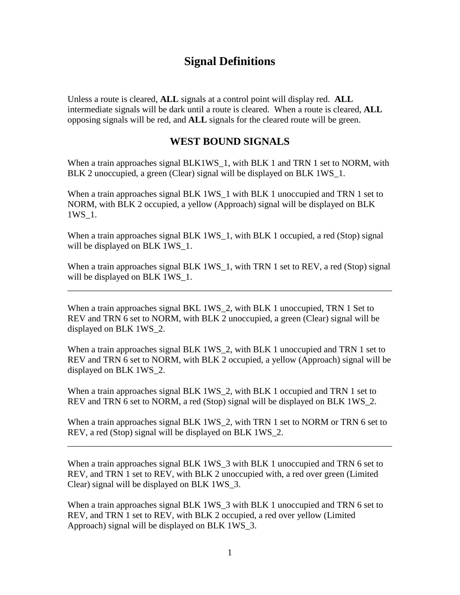## **Signal Definitions**

Unless a route is cleared, **ALL** signals at a control point will display red. **ALL** intermediate signals will be dark until a route is cleared. When a route is cleared, **ALL**  opposing signals will be red, and **ALL** signals for the cleared route will be green.

## **WEST BOUND SIGNALS**

When a train approaches signal BLK1WS 1, with BLK 1 and TRN 1 set to NORM, with BLK 2 unoccupied, a green (Clear) signal will be displayed on BLK 1WS\_1.

When a train approaches signal BLK 1WS\_1 with BLK 1 unoccupied and TRN 1 set to NORM, with BLK 2 occupied, a yellow (Approach) signal will be displayed on BLK 1WS\_1.

When a train approaches signal BLK 1WS\_1, with BLK 1 occupied, a red (Stop) signal will be displayed on BLK 1WS\_1.

When a train approaches signal BLK 1WS\_1, with TRN 1 set to REV, a red (Stop) signal will be displayed on BLK 1WS 1.

\_\_\_\_\_\_\_\_\_\_\_\_\_\_\_\_\_\_\_\_\_\_\_\_\_\_\_\_\_\_\_\_\_\_\_\_\_\_\_\_\_\_\_\_\_\_\_\_\_\_\_\_\_\_\_\_\_\_\_\_\_\_\_\_\_\_\_\_\_\_\_\_

When a train approaches signal BKL 1WS 2, with BLK 1 unoccupied, TRN 1 Set to REV and TRN 6 set to NORM, with BLK 2 unoccupied, a green (Clear) signal will be displayed on BLK 1WS\_2.

When a train approaches signal BLK 1WS<sub>\_2</sub>, with BLK 1 unoccupied and TRN 1 set to REV and TRN 6 set to NORM, with BLK 2 occupied, a yellow (Approach) signal will be displayed on BLK 1WS\_2.

When a train approaches signal BLK 1WS\_2, with BLK 1 occupied and TRN 1 set to REV and TRN 6 set to NORM, a red (Stop) signal will be displayed on BLK 1WS\_2.

When a train approaches signal BLK 1WS 2, with TRN 1 set to NORM or TRN 6 set to REV, a red (Stop) signal will be displayed on BLK 1WS\_2.

\_\_\_\_\_\_\_\_\_\_\_\_\_\_\_\_\_\_\_\_\_\_\_\_\_\_\_\_\_\_\_\_\_\_\_\_\_\_\_\_\_\_\_\_\_\_\_\_\_\_\_\_\_\_\_\_\_\_\_\_\_\_\_\_\_\_\_\_\_\_\_\_

When a train approaches signal BLK 1WS 3 with BLK 1 unoccupied and TRN 6 set to REV, and TRN 1 set to REV, with BLK 2 unoccupied with, a red over green (Limited Clear) signal will be displayed on BLK 1WS\_3.

When a train approaches signal BLK 1WS\_3 with BLK 1 unoccupied and TRN 6 set to REV, and TRN 1 set to REV, with BLK 2 occupied, a red over yellow (Limited Approach) signal will be displayed on BLK 1WS\_3.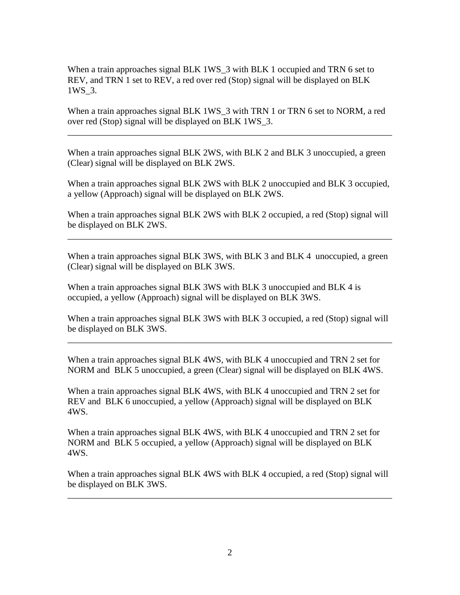When a train approaches signal BLK 1WS\_3 with BLK 1 occupied and TRN 6 set to REV, and TRN 1 set to REV, a red over red (Stop) signal will be displayed on BLK 1WS\_3.

When a train approaches signal BLK 1WS\_3 with TRN 1 or TRN 6 set to NORM, a red over red (Stop) signal will be displayed on BLK 1WS\_3.

\_\_\_\_\_\_\_\_\_\_\_\_\_\_\_\_\_\_\_\_\_\_\_\_\_\_\_\_\_\_\_\_\_\_\_\_\_\_\_\_\_\_\_\_\_\_\_\_\_\_\_\_\_\_\_\_\_\_\_\_\_\_\_\_\_\_\_\_\_\_\_\_

When a train approaches signal BLK 2WS, with BLK 2 and BLK 3 unoccupied, a green (Clear) signal will be displayed on BLK 2WS.

When a train approaches signal BLK 2WS with BLK 2 unoccupied and BLK 3 occupied, a yellow (Approach) signal will be displayed on BLK 2WS.

When a train approaches signal BLK 2WS with BLK 2 occupied, a red (Stop) signal will be displayed on BLK 2WS.

\_\_\_\_\_\_\_\_\_\_\_\_\_\_\_\_\_\_\_\_\_\_\_\_\_\_\_\_\_\_\_\_\_\_\_\_\_\_\_\_\_\_\_\_\_\_\_\_\_\_\_\_\_\_\_\_\_\_\_\_\_\_\_\_\_\_\_\_\_\_\_\_

When a train approaches signal BLK 3WS, with BLK 3 and BLK 4 unoccupied, a green (Clear) signal will be displayed on BLK 3WS.

When a train approaches signal BLK 3WS with BLK 3 unoccupied and BLK 4 is occupied, a yellow (Approach) signal will be displayed on BLK 3WS.

When a train approaches signal BLK 3WS with BLK 3 occupied, a red (Stop) signal will be displayed on BLK 3WS.

\_\_\_\_\_\_\_\_\_\_\_\_\_\_\_\_\_\_\_\_\_\_\_\_\_\_\_\_\_\_\_\_\_\_\_\_\_\_\_\_\_\_\_\_\_\_\_\_\_\_\_\_\_\_\_\_\_\_\_\_\_\_\_\_\_\_\_\_\_\_\_\_

When a train approaches signal BLK 4WS, with BLK 4 unoccupied and TRN 2 set for NORM and BLK 5 unoccupied, a green (Clear) signal will be displayed on BLK 4WS.

When a train approaches signal BLK 4WS, with BLK 4 unoccupied and TRN 2 set for REV and BLK 6 unoccupied, a yellow (Approach) signal will be displayed on BLK 4WS.

When a train approaches signal BLK 4WS, with BLK 4 unoccupied and TRN 2 set for NORM and BLK 5 occupied, a yellow (Approach) signal will be displayed on BLK 4WS.

When a train approaches signal BLK 4WS with BLK 4 occupied, a red (Stop) signal will be displayed on BLK 3WS.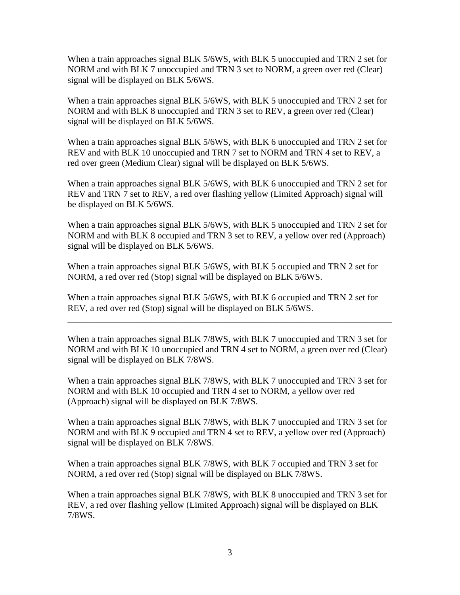When a train approaches signal BLK 5/6WS, with BLK 5 unoccupied and TRN 2 set for NORM and with BLK 7 unoccupied and TRN 3 set to NORM, a green over red (Clear) signal will be displayed on BLK 5/6WS.

When a train approaches signal BLK 5/6WS, with BLK 5 unoccupied and TRN 2 set for NORM and with BLK 8 unoccupied and TRN 3 set to REV, a green over red (Clear) signal will be displayed on BLK 5/6WS.

When a train approaches signal BLK 5/6WS, with BLK 6 unoccupied and TRN 2 set for REV and with BLK 10 unoccupied and TRN 7 set to NORM and TRN 4 set to REV, a red over green (Medium Clear) signal will be displayed on BLK 5/6WS.

When a train approaches signal BLK 5/6WS, with BLK 6 unoccupied and TRN 2 set for REV and TRN 7 set to REV, a red over flashing yellow (Limited Approach) signal will be displayed on BLK 5/6WS.

When a train approaches signal BLK 5/6WS, with BLK 5 unoccupied and TRN 2 set for NORM and with BLK 8 occupied and TRN 3 set to REV, a yellow over red (Approach) signal will be displayed on BLK 5/6WS.

When a train approaches signal BLK 5/6WS, with BLK 5 occupied and TRN 2 set for NORM, a red over red (Stop) signal will be displayed on BLK 5/6WS.

When a train approaches signal BLK 5/6WS, with BLK 6 occupied and TRN 2 set for REV, a red over red (Stop) signal will be displayed on BLK 5/6WS.

When a train approaches signal BLK 7/8WS, with BLK 7 unoccupied and TRN 3 set for NORM and with BLK 10 unoccupied and TRN 4 set to NORM, a green over red (Clear) signal will be displayed on BLK 7/8WS.

\_\_\_\_\_\_\_\_\_\_\_\_\_\_\_\_\_\_\_\_\_\_\_\_\_\_\_\_\_\_\_\_\_\_\_\_\_\_\_\_\_\_\_\_\_\_\_\_\_\_\_\_\_\_\_\_\_\_\_\_\_\_\_\_\_\_\_\_\_\_\_\_

When a train approaches signal BLK 7/8WS, with BLK 7 unoccupied and TRN 3 set for NORM and with BLK 10 occupied and TRN 4 set to NORM, a yellow over red (Approach) signal will be displayed on BLK 7/8WS.

When a train approaches signal BLK 7/8WS, with BLK 7 unoccupied and TRN 3 set for NORM and with BLK 9 occupied and TRN 4 set to REV, a yellow over red (Approach) signal will be displayed on BLK 7/8WS.

When a train approaches signal BLK 7/8WS, with BLK 7 occupied and TRN 3 set for NORM, a red over red (Stop) signal will be displayed on BLK 7/8WS.

When a train approaches signal BLK 7/8WS, with BLK 8 unoccupied and TRN 3 set for REV, a red over flashing yellow (Limited Approach) signal will be displayed on BLK 7/8WS.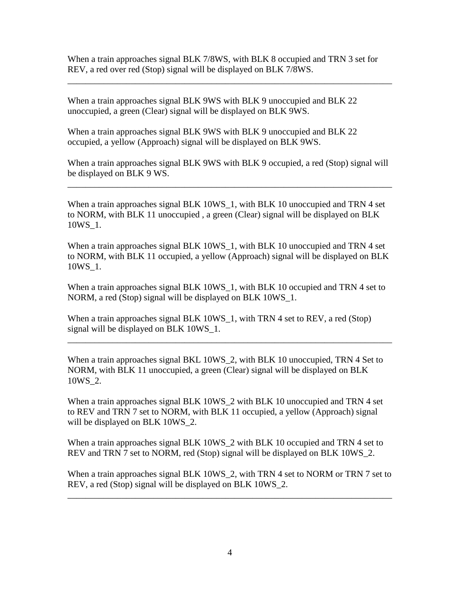When a train approaches signal BLK 7/8WS, with BLK 8 occupied and TRN 3 set for REV, a red over red (Stop) signal will be displayed on BLK 7/8WS.

\_\_\_\_\_\_\_\_\_\_\_\_\_\_\_\_\_\_\_\_\_\_\_\_\_\_\_\_\_\_\_\_\_\_\_\_\_\_\_\_\_\_\_\_\_\_\_\_\_\_\_\_\_\_\_\_\_\_\_\_\_\_\_\_\_\_\_\_\_\_\_\_

When a train approaches signal BLK 9WS with BLK 9 unoccupied and BLK 22 unoccupied, a green (Clear) signal will be displayed on BLK 9WS.

When a train approaches signal BLK 9WS with BLK 9 unoccupied and BLK 22 occupied, a yellow (Approach) signal will be displayed on BLK 9WS.

When a train approaches signal BLK 9WS with BLK 9 occupied, a red (Stop) signal will be displayed on BLK 9 WS.

\_\_\_\_\_\_\_\_\_\_\_\_\_\_\_\_\_\_\_\_\_\_\_\_\_\_\_\_\_\_\_\_\_\_\_\_\_\_\_\_\_\_\_\_\_\_\_\_\_\_\_\_\_\_\_\_\_\_\_\_\_\_\_\_\_\_\_\_\_\_\_\_

When a train approaches signal BLK 10WS 1, with BLK 10 unoccupied and TRN 4 set to NORM, with BLK 11 unoccupied , a green (Clear) signal will be displayed on BLK 10WS\_1.

When a train approaches signal BLK 10WS\_1, with BLK 10 unoccupied and TRN 4 set to NORM, with BLK 11 occupied, a yellow (Approach) signal will be displayed on BLK 10WS\_1.

When a train approaches signal BLK 10WS 1, with BLK 10 occupied and TRN 4 set to NORM, a red (Stop) signal will be displayed on BLK 10WS\_1.

When a train approaches signal BLK 10WS\_1, with TRN 4 set to REV, a red (Stop) signal will be displayed on BLK 10WS\_1.

When a train approaches signal BKL 10WS 2, with BLK 10 unoccupied, TRN 4 Set to NORM, with BLK 11 unoccupied, a green (Clear) signal will be displayed on BLK 10WS\_2.

\_\_\_\_\_\_\_\_\_\_\_\_\_\_\_\_\_\_\_\_\_\_\_\_\_\_\_\_\_\_\_\_\_\_\_\_\_\_\_\_\_\_\_\_\_\_\_\_\_\_\_\_\_\_\_\_\_\_\_\_\_\_\_\_\_\_\_\_\_\_\_\_

When a train approaches signal BLK 10WS\_2 with BLK 10 unoccupied and TRN 4 set to REV and TRN 7 set to NORM, with BLK 11 occupied, a yellow (Approach) signal will be displayed on BLK 10WS 2.

When a train approaches signal BLK 10WS 2 with BLK 10 occupied and TRN 4 set to REV and TRN 7 set to NORM, red (Stop) signal will be displayed on BLK 10WS\_2.

When a train approaches signal BLK 10WS\_2, with TRN 4 set to NORM or TRN 7 set to REV, a red (Stop) signal will be displayed on BLK 10WS\_2.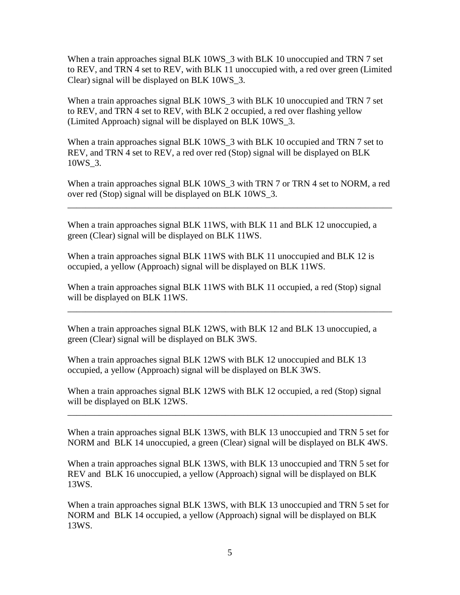When a train approaches signal BLK 10WS 3 with BLK 10 unoccupied and TRN 7 set to REV, and TRN 4 set to REV, with BLK 11 unoccupied with, a red over green (Limited Clear) signal will be displayed on BLK 10WS\_3.

When a train approaches signal BLK 10WS 3 with BLK 10 unoccupied and TRN 7 set to REV, and TRN 4 set to REV, with BLK 2 occupied, a red over flashing yellow (Limited Approach) signal will be displayed on BLK 10WS\_3.

When a train approaches signal BLK 10WS\_3 with BLK 10 occupied and TRN 7 set to REV, and TRN 4 set to REV, a red over red (Stop) signal will be displayed on BLK 10WS\_3.

When a train approaches signal BLK 10WS\_3 with TRN 7 or TRN 4 set to NORM, a red over red (Stop) signal will be displayed on BLK 10WS\_3.

\_\_\_\_\_\_\_\_\_\_\_\_\_\_\_\_\_\_\_\_\_\_\_\_\_\_\_\_\_\_\_\_\_\_\_\_\_\_\_\_\_\_\_\_\_\_\_\_\_\_\_\_\_\_\_\_\_\_\_\_\_\_\_\_\_\_\_\_\_\_\_\_

When a train approaches signal BLK 11WS, with BLK 11 and BLK 12 unoccupied, a green (Clear) signal will be displayed on BLK 11WS.

When a train approaches signal BLK 11WS with BLK 11 unoccupied and BLK 12 is occupied, a yellow (Approach) signal will be displayed on BLK 11WS.

When a train approaches signal BLK 11WS with BLK 11 occupied, a red (Stop) signal will be displayed on BLK 11WS.

\_\_\_\_\_\_\_\_\_\_\_\_\_\_\_\_\_\_\_\_\_\_\_\_\_\_\_\_\_\_\_\_\_\_\_\_\_\_\_\_\_\_\_\_\_\_\_\_\_\_\_\_\_\_\_\_\_\_\_\_\_\_\_\_\_\_\_\_\_\_\_\_

When a train approaches signal BLK 12WS, with BLK 12 and BLK 13 unoccupied, a green (Clear) signal will be displayed on BLK 3WS.

When a train approaches signal BLK 12WS with BLK 12 unoccupied and BLK 13 occupied, a yellow (Approach) signal will be displayed on BLK 3WS.

When a train approaches signal BLK 12WS with BLK 12 occupied, a red (Stop) signal will be displayed on BLK 12WS.

When a train approaches signal BLK 13WS, with BLK 13 unoccupied and TRN 5 set for NORM and BLK 14 unoccupied, a green (Clear) signal will be displayed on BLK 4WS.

\_\_\_\_\_\_\_\_\_\_\_\_\_\_\_\_\_\_\_\_\_\_\_\_\_\_\_\_\_\_\_\_\_\_\_\_\_\_\_\_\_\_\_\_\_\_\_\_\_\_\_\_\_\_\_\_\_\_\_\_\_\_\_\_\_\_\_\_\_\_\_\_

When a train approaches signal BLK 13WS, with BLK 13 unoccupied and TRN 5 set for REV and BLK 16 unoccupied, a yellow (Approach) signal will be displayed on BLK 13WS.

When a train approaches signal BLK 13WS, with BLK 13 unoccupied and TRN 5 set for NORM and BLK 14 occupied, a yellow (Approach) signal will be displayed on BLK 13WS.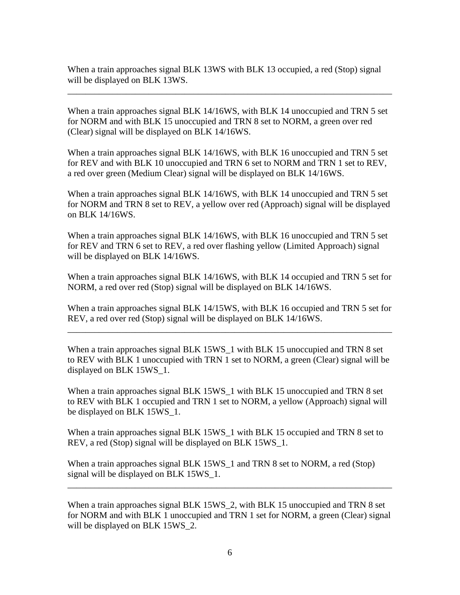When a train approaches signal BLK 13WS with BLK 13 occupied, a red (Stop) signal will be displayed on BLK 13WS.

When a train approaches signal BLK 14/16WS, with BLK 14 unoccupied and TRN 5 set for NORM and with BLK 15 unoccupied and TRN 8 set to NORM, a green over red (Clear) signal will be displayed on BLK 14/16WS.

\_\_\_\_\_\_\_\_\_\_\_\_\_\_\_\_\_\_\_\_\_\_\_\_\_\_\_\_\_\_\_\_\_\_\_\_\_\_\_\_\_\_\_\_\_\_\_\_\_\_\_\_\_\_\_\_\_\_\_\_\_\_\_\_\_\_\_\_\_\_\_\_

When a train approaches signal BLK 14/16WS, with BLK 16 unoccupied and TRN 5 set for REV and with BLK 10 unoccupied and TRN 6 set to NORM and TRN 1 set to REV, a red over green (Medium Clear) signal will be displayed on BLK 14/16WS.

When a train approaches signal BLK 14/16WS, with BLK 14 unoccupied and TRN 5 set for NORM and TRN 8 set to REV, a yellow over red (Approach) signal will be displayed on BLK 14/16WS.

When a train approaches signal BLK 14/16WS, with BLK 16 unoccupied and TRN 5 set for REV and TRN 6 set to REV, a red over flashing yellow (Limited Approach) signal will be displayed on BLK 14/16WS.

When a train approaches signal BLK 14/16WS, with BLK 14 occupied and TRN 5 set for NORM, a red over red (Stop) signal will be displayed on BLK 14/16WS.

When a train approaches signal BLK 14/15WS, with BLK 16 occupied and TRN 5 set for REV, a red over red (Stop) signal will be displayed on BLK 14/16WS.

\_\_\_\_\_\_\_\_\_\_\_\_\_\_\_\_\_\_\_\_\_\_\_\_\_\_\_\_\_\_\_\_\_\_\_\_\_\_\_\_\_\_\_\_\_\_\_\_\_\_\_\_\_\_\_\_\_\_\_\_\_\_\_\_\_\_\_\_\_\_\_\_

When a train approaches signal BLK 15WS<sub>1</sub> with BLK 15 unoccupied and TRN 8 set to REV with BLK 1 unoccupied with TRN 1 set to NORM, a green (Clear) signal will be displayed on BLK 15WS\_1.

When a train approaches signal BLK 15WS<sub>-1</sub> with BLK 15 unoccupied and TRN 8 set to REV with BLK 1 occupied and TRN 1 set to NORM, a yellow (Approach) signal will be displayed on BLK 15WS\_1.

When a train approaches signal BLK 15WS\_1 with BLK 15 occupied and TRN 8 set to REV, a red (Stop) signal will be displayed on BLK 15WS\_1.

When a train approaches signal BLK 15WS 1 and TRN 8 set to NORM, a red (Stop) signal will be displayed on BLK 15WS\_1.

When a train approaches signal BLK 15WS\_2, with BLK 15 unoccupied and TRN 8 set for NORM and with BLK 1 unoccupied and TRN 1 set for NORM, a green (Clear) signal will be displayed on BLK 15WS 2.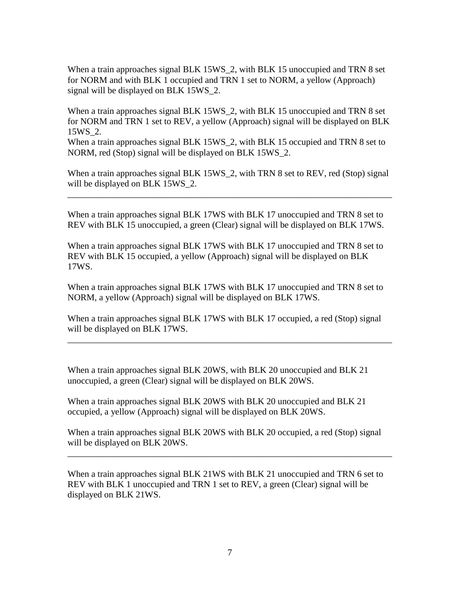When a train approaches signal BLK 15WS<sub>\_2</sub>, with BLK 15 unoccupied and TRN 8 set for NORM and with BLK 1 occupied and TRN 1 set to NORM, a yellow (Approach) signal will be displayed on BLK 15WS\_2.

When a train approaches signal BLK 15WS<sub>\_2</sub>, with BLK 15 unoccupied and TRN 8 set for NORM and TRN 1 set to REV, a yellow (Approach) signal will be displayed on BLK 15WS\_2.

When a train approaches signal BLK 15WS<sub>\_2</sub>, with BLK 15 occupied and TRN 8 set to NORM, red (Stop) signal will be displayed on BLK 15WS\_2.

When a train approaches signal BLK 15WS\_2, with TRN 8 set to REV, red (Stop) signal will be displayed on BLK 15WS\_2.

\_\_\_\_\_\_\_\_\_\_\_\_\_\_\_\_\_\_\_\_\_\_\_\_\_\_\_\_\_\_\_\_\_\_\_\_\_\_\_\_\_\_\_\_\_\_\_\_\_\_\_\_\_\_\_\_\_\_\_\_\_\_\_\_\_\_\_\_\_\_\_\_

When a train approaches signal BLK 17WS with BLK 17 unoccupied and TRN 8 set to REV with BLK 15 unoccupied, a green (Clear) signal will be displayed on BLK 17WS.

When a train approaches signal BLK 17WS with BLK 17 unoccupied and TRN 8 set to REV with BLK 15 occupied, a yellow (Approach) signal will be displayed on BLK 17WS.

When a train approaches signal BLK 17WS with BLK 17 unoccupied and TRN 8 set to NORM, a yellow (Approach) signal will be displayed on BLK 17WS.

When a train approaches signal BLK 17WS with BLK 17 occupied, a red (Stop) signal will be displayed on BLK 17WS.

\_\_\_\_\_\_\_\_\_\_\_\_\_\_\_\_\_\_\_\_\_\_\_\_\_\_\_\_\_\_\_\_\_\_\_\_\_\_\_\_\_\_\_\_\_\_\_\_\_\_\_\_\_\_\_\_\_\_\_\_\_\_\_\_\_\_\_\_\_\_\_\_

When a train approaches signal BLK 20WS, with BLK 20 unoccupied and BLK 21 unoccupied, a green (Clear) signal will be displayed on BLK 20WS.

When a train approaches signal BLK 20WS with BLK 20 unoccupied and BLK 21 occupied, a yellow (Approach) signal will be displayed on BLK 20WS.

When a train approaches signal BLK 20WS with BLK 20 occupied, a red (Stop) signal will be displayed on BLK 20WS.

\_\_\_\_\_\_\_\_\_\_\_\_\_\_\_\_\_\_\_\_\_\_\_\_\_\_\_\_\_\_\_\_\_\_\_\_\_\_\_\_\_\_\_\_\_\_\_\_\_\_\_\_\_\_\_\_\_\_\_\_\_\_\_\_\_\_\_\_\_\_\_\_

When a train approaches signal BLK 21WS with BLK 21 unoccupied and TRN 6 set to REV with BLK 1 unoccupied and TRN 1 set to REV, a green (Clear) signal will be displayed on BLK 21WS.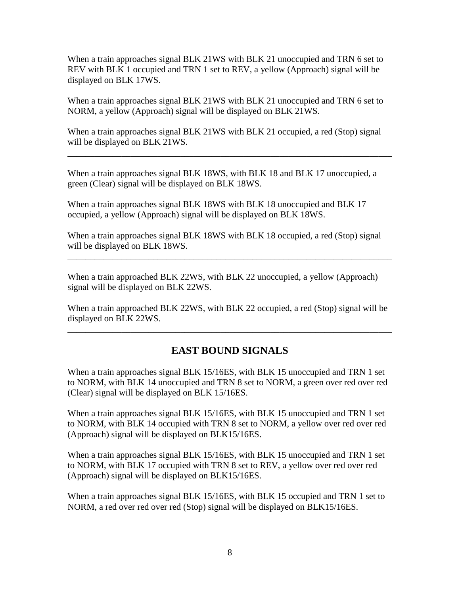When a train approaches signal BLK 21WS with BLK 21 unoccupied and TRN 6 set to REV with BLK 1 occupied and TRN 1 set to REV, a yellow (Approach) signal will be displayed on BLK 17WS.

When a train approaches signal BLK 21WS with BLK 21 unoccupied and TRN 6 set to NORM, a yellow (Approach) signal will be displayed on BLK 21WS.

When a train approaches signal BLK 21WS with BLK 21 occupied, a red (Stop) signal will be displayed on BLK 21WS.

\_\_\_\_\_\_\_\_\_\_\_\_\_\_\_\_\_\_\_\_\_\_\_\_\_\_\_\_\_\_\_\_\_\_\_\_\_\_\_\_\_\_\_\_\_\_\_\_\_\_\_\_\_\_\_\_\_\_\_\_\_\_\_\_\_\_\_\_\_\_\_\_

When a train approaches signal BLK 18WS, with BLK 18 and BLK 17 unoccupied, a green (Clear) signal will be displayed on BLK 18WS.

When a train approaches signal BLK 18WS with BLK 18 unoccupied and BLK 17 occupied, a yellow (Approach) signal will be displayed on BLK 18WS.

When a train approaches signal BLK 18WS with BLK 18 occupied, a red (Stop) signal will be displayed on BLK 18WS.

\_\_\_\_\_\_\_\_\_\_\_\_\_\_\_\_\_\_\_\_\_\_\_\_\_\_\_\_\_\_\_\_\_\_\_\_\_\_\_\_\_\_\_\_\_\_\_\_\_\_\_\_\_\_\_\_\_\_\_\_\_\_\_\_\_\_\_\_\_\_\_\_

When a train approached BLK 22WS, with BLK 22 unoccupied, a yellow (Approach) signal will be displayed on BLK 22WS.

When a train approached BLK 22WS, with BLK 22 occupied, a red (Stop) signal will be displayed on BLK 22WS.

## **EAST BOUND SIGNALS**

\_\_\_\_\_\_\_\_\_\_\_\_\_\_\_\_\_\_\_\_\_\_\_\_\_\_\_\_\_\_\_\_\_\_\_\_\_\_\_\_\_\_\_\_\_\_\_\_\_\_\_\_\_\_\_\_\_\_\_\_\_\_\_\_\_\_\_\_\_\_\_\_

When a train approaches signal BLK 15/16ES, with BLK 15 unoccupied and TRN 1 set to NORM, with BLK 14 unoccupied and TRN 8 set to NORM, a green over red over red (Clear) signal will be displayed on BLK 15/16ES.

When a train approaches signal BLK 15/16ES, with BLK 15 unoccupied and TRN 1 set to NORM, with BLK 14 occupied with TRN 8 set to NORM, a yellow over red over red (Approach) signal will be displayed on BLK15/16ES.

When a train approaches signal BLK 15/16ES, with BLK 15 unoccupied and TRN 1 set to NORM, with BLK 17 occupied with TRN 8 set to REV, a yellow over red over red (Approach) signal will be displayed on BLK15/16ES.

When a train approaches signal BLK 15/16ES, with BLK 15 occupied and TRN 1 set to NORM, a red over red over red (Stop) signal will be displayed on BLK15/16ES.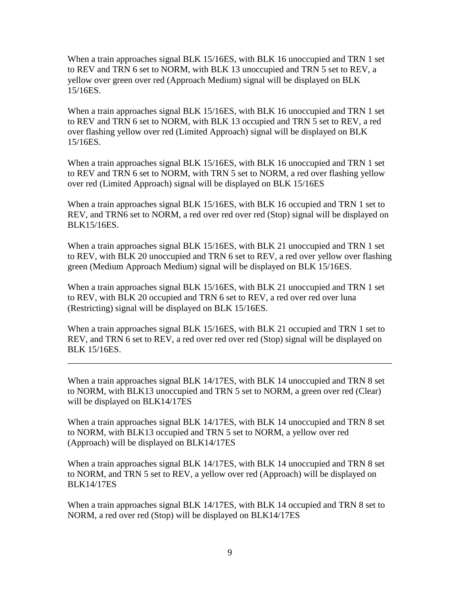When a train approaches signal BLK 15/16ES, with BLK 16 unoccupied and TRN 1 set to REV and TRN 6 set to NORM, with BLK 13 unoccupied and TRN 5 set to REV, a yellow over green over red (Approach Medium) signal will be displayed on BLK 15/16ES.

When a train approaches signal BLK 15/16ES, with BLK 16 unoccupied and TRN 1 set to REV and TRN 6 set to NORM, with BLK 13 occupied and TRN 5 set to REV, a red over flashing yellow over red (Limited Approach) signal will be displayed on BLK 15/16ES.

When a train approaches signal BLK 15/16ES, with BLK 16 unoccupied and TRN 1 set to REV and TRN 6 set to NORM, with TRN 5 set to NORM, a red over flashing yellow over red (Limited Approach) signal will be displayed on BLK 15/16ES

When a train approaches signal BLK 15/16ES, with BLK 16 occupied and TRN 1 set to REV, and TRN6 set to NORM, a red over red over red (Stop) signal will be displayed on BLK15/16ES.

When a train approaches signal BLK 15/16ES, with BLK 21 unoccupied and TRN 1 set to REV, with BLK 20 unoccupied and TRN 6 set to REV, a red over yellow over flashing green (Medium Approach Medium) signal will be displayed on BLK 15/16ES.

When a train approaches signal BLK 15/16ES, with BLK 21 unoccupied and TRN 1 set to REV, with BLK 20 occupied and TRN 6 set to REV, a red over red over luna (Restricting) signal will be displayed on BLK 15/16ES.

When a train approaches signal BLK 15/16ES, with BLK 21 occupied and TRN 1 set to REV, and TRN 6 set to REV, a red over red over red (Stop) signal will be displayed on BLK 15/16ES.

\_\_\_\_\_\_\_\_\_\_\_\_\_\_\_\_\_\_\_\_\_\_\_\_\_\_\_\_\_\_\_\_\_\_\_\_\_\_\_\_\_\_\_\_\_\_\_\_\_\_\_\_\_\_\_\_\_\_\_\_\_\_\_\_\_\_\_\_\_\_\_\_

When a train approaches signal BLK 14/17ES, with BLK 14 unoccupied and TRN 8 set to NORM, with BLK13 unoccupied and TRN 5 set to NORM, a green over red (Clear) will be displayed on BLK14/17ES

When a train approaches signal BLK 14/17ES, with BLK 14 unoccupied and TRN 8 set to NORM, with BLK13 occupied and TRN 5 set to NORM, a yellow over red (Approach) will be displayed on BLK14/17ES

When a train approaches signal BLK 14/17ES, with BLK 14 unoccupied and TRN 8 set to NORM, and TRN 5 set to REV, a yellow over red (Approach) will be displayed on BLK14/17ES

When a train approaches signal BLK 14/17ES, with BLK 14 occupied and TRN 8 set to NORM, a red over red (Stop) will be displayed on BLK14/17ES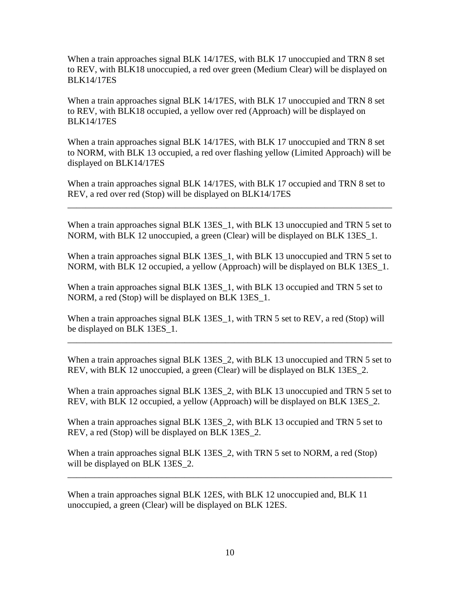When a train approaches signal BLK 14/17ES, with BLK 17 unoccupied and TRN 8 set to REV, with BLK18 unoccupied, a red over green (Medium Clear) will be displayed on BLK14/17ES

When a train approaches signal BLK 14/17ES, with BLK 17 unoccupied and TRN 8 set to REV, with BLK18 occupied, a yellow over red (Approach) will be displayed on BLK14/17ES

When a train approaches signal BLK 14/17ES, with BLK 17 unoccupied and TRN 8 set to NORM, with BLK 13 occupied, a red over flashing yellow (Limited Approach) will be displayed on BLK14/17ES

When a train approaches signal BLK 14/17ES, with BLK 17 occupied and TRN 8 set to REV, a red over red (Stop) will be displayed on BLK14/17ES

When a train approaches signal BLK 13ES 1, with BLK 13 unoccupied and TRN 5 set to NORM, with BLK 12 unoccupied, a green (Clear) will be displayed on BLK 13ES\_1.

\_\_\_\_\_\_\_\_\_\_\_\_\_\_\_\_\_\_\_\_\_\_\_\_\_\_\_\_\_\_\_\_\_\_\_\_\_\_\_\_\_\_\_\_\_\_\_\_\_\_\_\_\_\_\_\_\_\_\_\_\_\_\_\_\_\_\_\_\_\_\_\_

When a train approaches signal BLK 13ES\_1, with BLK 13 unoccupied and TRN 5 set to NORM, with BLK 12 occupied, a yellow (Approach) will be displayed on BLK 13ES\_1.

When a train approaches signal BLK 13ES 1, with BLK 13 occupied and TRN 5 set to NORM, a red (Stop) will be displayed on BLK 13ES\_1.

When a train approaches signal BLK 13ES\_1, with TRN 5 set to REV, a red (Stop) will be displayed on BLK 13ES 1.

When a train approaches signal BLK 13ES 2, with BLK 13 unoccupied and TRN 5 set to REV, with BLK 12 unoccupied, a green (Clear) will be displayed on BLK 13ES\_2.

\_\_\_\_\_\_\_\_\_\_\_\_\_\_\_\_\_\_\_\_\_\_\_\_\_\_\_\_\_\_\_\_\_\_\_\_\_\_\_\_\_\_\_\_\_\_\_\_\_\_\_\_\_\_\_\_\_\_\_\_\_\_\_\_\_\_\_\_\_\_\_\_

When a train approaches signal BLK 13ES<sub>-2</sub>, with BLK 13 unoccupied and TRN 5 set to REV, with BLK 12 occupied, a yellow (Approach) will be displayed on BLK 13ES\_2.

When a train approaches signal BLK 13ES 2, with BLK 13 occupied and TRN 5 set to REV, a red (Stop) will be displayed on BLK 13ES\_2.

When a train approaches signal BLK 13ES<sub>-2</sub>, with TRN 5 set to NORM, a red (Stop) will be displayed on BLK 13ES 2.

\_\_\_\_\_\_\_\_\_\_\_\_\_\_\_\_\_\_\_\_\_\_\_\_\_\_\_\_\_\_\_\_\_\_\_\_\_\_\_\_\_\_\_\_\_\_\_\_\_\_\_\_\_\_\_\_\_\_\_\_\_\_\_\_\_\_\_\_\_\_\_\_

When a train approaches signal BLK 12ES, with BLK 12 unoccupied and, BLK 11 unoccupied, a green (Clear) will be displayed on BLK 12ES.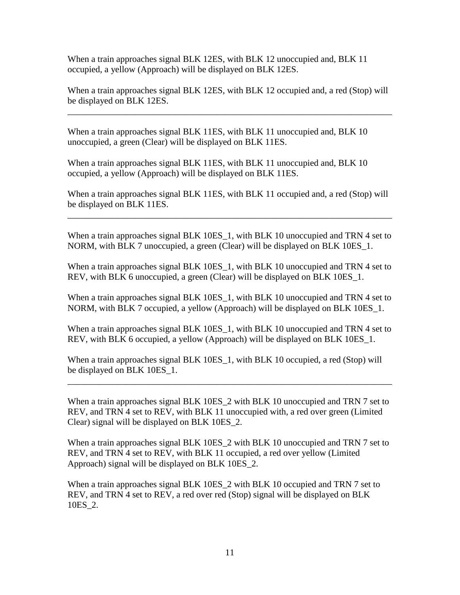When a train approaches signal BLK 12ES, with BLK 12 unoccupied and, BLK 11 occupied, a yellow (Approach) will be displayed on BLK 12ES.

When a train approaches signal BLK 12ES, with BLK 12 occupied and, a red (Stop) will be displayed on BLK 12ES.

\_\_\_\_\_\_\_\_\_\_\_\_\_\_\_\_\_\_\_\_\_\_\_\_\_\_\_\_\_\_\_\_\_\_\_\_\_\_\_\_\_\_\_\_\_\_\_\_\_\_\_\_\_\_\_\_\_\_\_\_\_\_\_\_\_\_\_\_\_\_\_\_

When a train approaches signal BLK 11ES, with BLK 11 unoccupied and, BLK 10 unoccupied, a green (Clear) will be displayed on BLK 11ES.

When a train approaches signal BLK 11ES, with BLK 11 unoccupied and, BLK 10 occupied, a yellow (Approach) will be displayed on BLK 11ES.

When a train approaches signal BLK 11ES, with BLK 11 occupied and, a red (Stop) will be displayed on BLK 11ES.

\_\_\_\_\_\_\_\_\_\_\_\_\_\_\_\_\_\_\_\_\_\_\_\_\_\_\_\_\_\_\_\_\_\_\_\_\_\_\_\_\_\_\_\_\_\_\_\_\_\_\_\_\_\_\_\_\_\_\_\_\_\_\_\_\_\_\_\_\_\_\_\_

When a train approaches signal BLK 10ES\_1, with BLK 10 unoccupied and TRN 4 set to NORM, with BLK 7 unoccupied, a green (Clear) will be displayed on BLK 10ES\_1.

When a train approaches signal BLK 10ES 1, with BLK 10 unoccupied and TRN 4 set to REV, with BLK 6 unoccupied, a green (Clear) will be displayed on BLK 10ES\_1.

When a train approaches signal BLK 10ES\_1, with BLK 10 unoccupied and TRN 4 set to NORM, with BLK 7 occupied, a yellow (Approach) will be displayed on BLK 10ES\_1.

When a train approaches signal BLK 10ES 1, with BLK 10 unoccupied and TRN 4 set to REV, with BLK 6 occupied, a yellow (Approach) will be displayed on BLK 10ES\_1.

When a train approaches signal BLK 10ES 1, with BLK 10 occupied, a red (Stop) will be displayed on BLK 10ES\_1.

When a train approaches signal BLK 10ES\_2 with BLK 10 unoccupied and TRN 7 set to REV, and TRN 4 set to REV, with BLK 11 unoccupied with, a red over green (Limited Clear) signal will be displayed on BLK 10ES\_2.

\_\_\_\_\_\_\_\_\_\_\_\_\_\_\_\_\_\_\_\_\_\_\_\_\_\_\_\_\_\_\_\_\_\_\_\_\_\_\_\_\_\_\_\_\_\_\_\_\_\_\_\_\_\_\_\_\_\_\_\_\_\_\_\_\_\_\_\_\_\_\_\_

When a train approaches signal BLK 10ES 2 with BLK 10 unoccupied and TRN 7 set to REV, and TRN 4 set to REV, with BLK 11 occupied, a red over yellow (Limited Approach) signal will be displayed on BLK 10ES\_2.

When a train approaches signal BLK 10ES 2 with BLK 10 occupied and TRN 7 set to REV, and TRN 4 set to REV, a red over red (Stop) signal will be displayed on BLK 10ES\_2.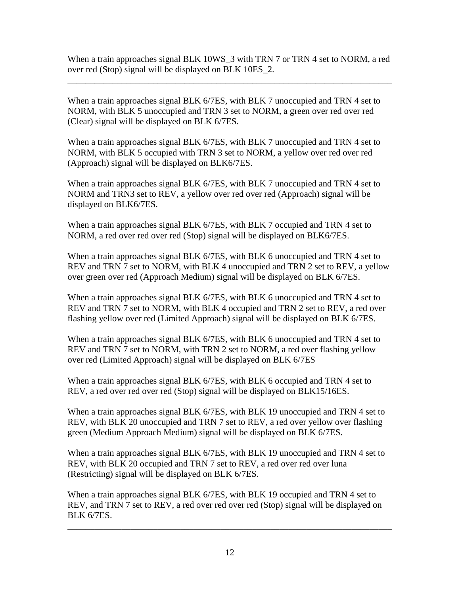When a train approaches signal BLK 10WS 3 with TRN 7 or TRN 4 set to NORM, a red over red (Stop) signal will be displayed on BLK 10ES\_2.

\_\_\_\_\_\_\_\_\_\_\_\_\_\_\_\_\_\_\_\_\_\_\_\_\_\_\_\_\_\_\_\_\_\_\_\_\_\_\_\_\_\_\_\_\_\_\_\_\_\_\_\_\_\_\_\_\_\_\_\_\_\_\_\_\_\_\_\_\_\_\_\_

When a train approaches signal BLK 6/7ES, with BLK 7 unoccupied and TRN 4 set to NORM, with BLK 5 unoccupied and TRN 3 set to NORM, a green over red over red (Clear) signal will be displayed on BLK 6/7ES.

When a train approaches signal BLK 6/7ES, with BLK 7 unoccupied and TRN 4 set to NORM, with BLK 5 occupied with TRN 3 set to NORM, a yellow over red over red (Approach) signal will be displayed on BLK6/7ES.

When a train approaches signal BLK 6/7ES, with BLK 7 unoccupied and TRN 4 set to NORM and TRN3 set to REV, a yellow over red over red (Approach) signal will be displayed on BLK6/7ES.

When a train approaches signal BLK 6/7ES, with BLK 7 occupied and TRN 4 set to NORM, a red over red over red (Stop) signal will be displayed on BLK6/7ES.

When a train approaches signal BLK 6/7ES, with BLK 6 unoccupied and TRN 4 set to REV and TRN 7 set to NORM, with BLK 4 unoccupied and TRN 2 set to REV, a yellow over green over red (Approach Medium) signal will be displayed on BLK 6/7ES.

When a train approaches signal BLK 6/7ES, with BLK 6 unoccupied and TRN 4 set to REV and TRN 7 set to NORM, with BLK 4 occupied and TRN 2 set to REV, a red over flashing yellow over red (Limited Approach) signal will be displayed on BLK 6/7ES.

When a train approaches signal BLK 6/7ES, with BLK 6 unoccupied and TRN 4 set to REV and TRN 7 set to NORM, with TRN 2 set to NORM, a red over flashing yellow over red (Limited Approach) signal will be displayed on BLK 6/7ES

When a train approaches signal BLK 6/7ES, with BLK 6 occupied and TRN 4 set to REV, a red over red over red (Stop) signal will be displayed on BLK15/16ES.

When a train approaches signal BLK 6/7ES, with BLK 19 unoccupied and TRN 4 set to REV, with BLK 20 unoccupied and TRN 7 set to REV, a red over yellow over flashing green (Medium Approach Medium) signal will be displayed on BLK 6/7ES.

When a train approaches signal BLK 6/7ES, with BLK 19 unoccupied and TRN 4 set to REV, with BLK 20 occupied and TRN 7 set to REV, a red over red over luna (Restricting) signal will be displayed on BLK 6/7ES.

When a train approaches signal BLK 6/7ES, with BLK 19 occupied and TRN 4 set to REV, and TRN 7 set to REV, a red over red over red (Stop) signal will be displayed on BLK 6/7ES.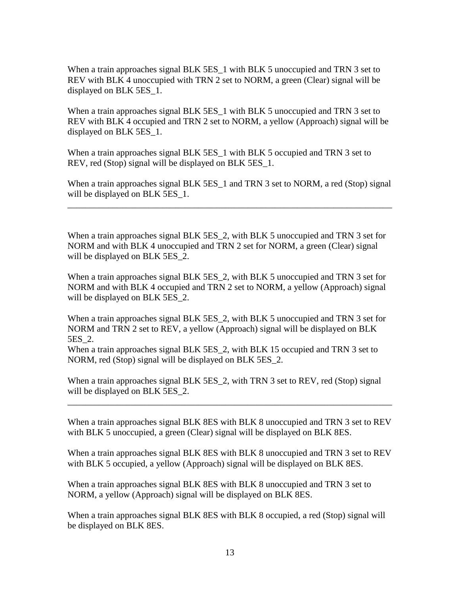When a train approaches signal BLK 5ES 1 with BLK 5 unoccupied and TRN 3 set to REV with BLK 4 unoccupied with TRN 2 set to NORM, a green (Clear) signal will be displayed on BLK 5ES\_1.

When a train approaches signal BLK 5ES\_1 with BLK 5 unoccupied and TRN 3 set to REV with BLK 4 occupied and TRN 2 set to NORM, a yellow (Approach) signal will be displayed on BLK 5ES\_1.

When a train approaches signal BLK 5ES\_1 with BLK 5 occupied and TRN 3 set to REV, red (Stop) signal will be displayed on BLK 5ES\_1.

When a train approaches signal BLK 5ES\_1 and TRN 3 set to NORM, a red (Stop) signal will be displayed on BLK 5ES\_1.

\_\_\_\_\_\_\_\_\_\_\_\_\_\_\_\_\_\_\_\_\_\_\_\_\_\_\_\_\_\_\_\_\_\_\_\_\_\_\_\_\_\_\_\_\_\_\_\_\_\_\_\_\_\_\_\_\_\_\_\_\_\_\_\_\_\_\_\_\_\_\_\_

When a train approaches signal BLK 5ES\_2, with BLK 5 unoccupied and TRN 3 set for NORM and with BLK 4 unoccupied and TRN 2 set for NORM, a green (Clear) signal will be displayed on BLK 5ES\_2.

When a train approaches signal BLK 5ES 2, with BLK 5 unoccupied and TRN 3 set for NORM and with BLK 4 occupied and TRN 2 set to NORM, a yellow (Approach) signal will be displayed on BLK 5ES\_2.

When a train approaches signal BLK 5ES<sub>\_2</sub>, with BLK 5 unoccupied and TRN 3 set for NORM and TRN 2 set to REV, a yellow (Approach) signal will be displayed on BLK 5ES\_2.

When a train approaches signal BLK 5ES 2, with BLK 15 occupied and TRN 3 set to NORM, red (Stop) signal will be displayed on BLK 5ES\_2.

When a train approaches signal BLK 5ES 2, with TRN 3 set to REV, red (Stop) signal will be displayed on BLK 5ES\_2.

When a train approaches signal BLK 8ES with BLK 8 unoccupied and TRN 3 set to REV with BLK 5 unoccupied, a green (Clear) signal will be displayed on BLK 8ES.

\_\_\_\_\_\_\_\_\_\_\_\_\_\_\_\_\_\_\_\_\_\_\_\_\_\_\_\_\_\_\_\_\_\_\_\_\_\_\_\_\_\_\_\_\_\_\_\_\_\_\_\_\_\_\_\_\_\_\_\_\_\_\_\_\_\_\_\_\_\_\_\_

When a train approaches signal BLK 8ES with BLK 8 unoccupied and TRN 3 set to REV with BLK 5 occupied, a yellow (Approach) signal will be displayed on BLK 8ES.

When a train approaches signal BLK 8ES with BLK 8 unoccupied and TRN 3 set to NORM, a yellow (Approach) signal will be displayed on BLK 8ES.

When a train approaches signal BLK 8ES with BLK 8 occupied, a red (Stop) signal will be displayed on BLK 8ES.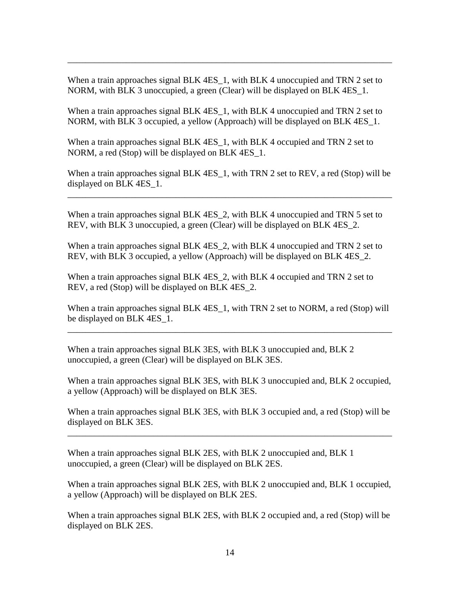When a train approaches signal BLK 4ES 1, with BLK 4 unoccupied and TRN 2 set to NORM, with BLK 3 unoccupied, a green (Clear) will be displayed on BLK 4ES\_1.

\_\_\_\_\_\_\_\_\_\_\_\_\_\_\_\_\_\_\_\_\_\_\_\_\_\_\_\_\_\_\_\_\_\_\_\_\_\_\_\_\_\_\_\_\_\_\_\_\_\_\_\_\_\_\_\_\_\_\_\_\_\_\_\_\_\_\_\_\_\_\_\_

When a train approaches signal BLK 4ES\_1, with BLK 4 unoccupied and TRN 2 set to NORM, with BLK 3 occupied, a yellow (Approach) will be displayed on BLK 4ES\_1.

When a train approaches signal BLK 4ES\_1, with BLK 4 occupied and TRN 2 set to NORM, a red (Stop) will be displayed on BLK 4ES\_1.

When a train approaches signal BLK 4ES\_1, with TRN 2 set to REV, a red (Stop) will be displayed on BLK 4ES\_1.

\_\_\_\_\_\_\_\_\_\_\_\_\_\_\_\_\_\_\_\_\_\_\_\_\_\_\_\_\_\_\_\_\_\_\_\_\_\_\_\_\_\_\_\_\_\_\_\_\_\_\_\_\_\_\_\_\_\_\_\_\_\_\_\_\_\_\_\_\_\_\_\_

When a train approaches signal BLK 4ES\_2, with BLK 4 unoccupied and TRN 5 set to REV, with BLK 3 unoccupied, a green (Clear) will be displayed on BLK 4ES\_2.

When a train approaches signal BLK 4ES<sub>1</sub>, with BLK 4 unoccupied and TRN 2 set to REV, with BLK 3 occupied, a yellow (Approach) will be displayed on BLK 4ES\_2.

When a train approaches signal BLK 4ES 2, with BLK 4 occupied and TRN 2 set to REV, a red (Stop) will be displayed on BLK 4ES\_2.

When a train approaches signal BLK 4ES\_1, with TRN 2 set to NORM, a red (Stop) will be displayed on BLK 4ES 1.

\_\_\_\_\_\_\_\_\_\_\_\_\_\_\_\_\_\_\_\_\_\_\_\_\_\_\_\_\_\_\_\_\_\_\_\_\_\_\_\_\_\_\_\_\_\_\_\_\_\_\_\_\_\_\_\_\_\_\_\_\_\_\_\_\_\_\_\_\_\_\_\_

When a train approaches signal BLK 3ES, with BLK 3 unoccupied and, BLK 2 unoccupied, a green (Clear) will be displayed on BLK 3ES.

When a train approaches signal BLK 3ES, with BLK 3 unoccupied and, BLK 2 occupied, a yellow (Approach) will be displayed on BLK 3ES.

When a train approaches signal BLK 3ES, with BLK 3 occupied and, a red (Stop) will be displayed on BLK 3ES.

\_\_\_\_\_\_\_\_\_\_\_\_\_\_\_\_\_\_\_\_\_\_\_\_\_\_\_\_\_\_\_\_\_\_\_\_\_\_\_\_\_\_\_\_\_\_\_\_\_\_\_\_\_\_\_\_\_\_\_\_\_\_\_\_\_\_\_\_\_\_\_\_

When a train approaches signal BLK 2ES, with BLK 2 unoccupied and, BLK 1 unoccupied, a green (Clear) will be displayed on BLK 2ES.

When a train approaches signal BLK 2ES, with BLK 2 unoccupied and, BLK 1 occupied, a yellow (Approach) will be displayed on BLK 2ES.

When a train approaches signal BLK 2ES, with BLK 2 occupied and, a red (Stop) will be displayed on BLK 2ES.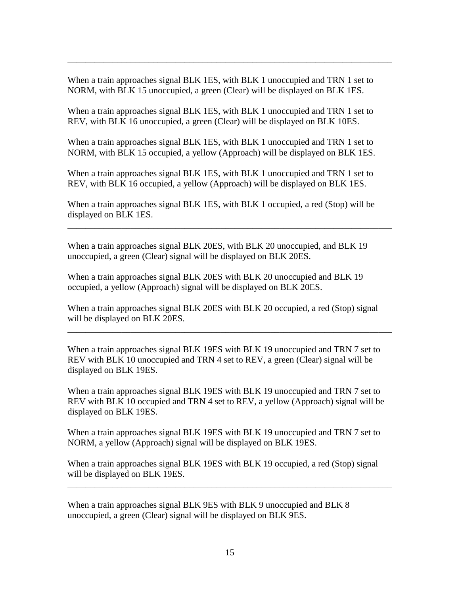When a train approaches signal BLK 1ES, with BLK 1 unoccupied and TRN 1 set to NORM, with BLK 15 unoccupied, a green (Clear) will be displayed on BLK 1ES.

\_\_\_\_\_\_\_\_\_\_\_\_\_\_\_\_\_\_\_\_\_\_\_\_\_\_\_\_\_\_\_\_\_\_\_\_\_\_\_\_\_\_\_\_\_\_\_\_\_\_\_\_\_\_\_\_\_\_\_\_\_\_\_\_\_\_\_\_\_\_\_\_

When a train approaches signal BLK 1ES, with BLK 1 unoccupied and TRN 1 set to REV, with BLK 16 unoccupied, a green (Clear) will be displayed on BLK 10ES.

When a train approaches signal BLK 1ES, with BLK 1 unoccupied and TRN 1 set to NORM, with BLK 15 occupied, a yellow (Approach) will be displayed on BLK 1ES.

When a train approaches signal BLK 1ES, with BLK 1 unoccupied and TRN 1 set to REV, with BLK 16 occupied, a yellow (Approach) will be displayed on BLK 1ES.

When a train approaches signal BLK 1ES, with BLK 1 occupied, a red (Stop) will be displayed on BLK 1ES.

\_\_\_\_\_\_\_\_\_\_\_\_\_\_\_\_\_\_\_\_\_\_\_\_\_\_\_\_\_\_\_\_\_\_\_\_\_\_\_\_\_\_\_\_\_\_\_\_\_\_\_\_\_\_\_\_\_\_\_\_\_\_\_\_\_\_\_\_\_\_\_\_

When a train approaches signal BLK 20ES, with BLK 20 unoccupied, and BLK 19 unoccupied, a green (Clear) signal will be displayed on BLK 20ES.

When a train approaches signal BLK 20ES with BLK 20 unoccupied and BLK 19 occupied, a yellow (Approach) signal will be displayed on BLK 20ES.

When a train approaches signal BLK 20ES with BLK 20 occupied, a red (Stop) signal will be displayed on BLK 20ES.

\_\_\_\_\_\_\_\_\_\_\_\_\_\_\_\_\_\_\_\_\_\_\_\_\_\_\_\_\_\_\_\_\_\_\_\_\_\_\_\_\_\_\_\_\_\_\_\_\_\_\_\_\_\_\_\_\_\_\_\_\_\_\_\_\_\_\_\_\_\_\_\_

When a train approaches signal BLK 19ES with BLK 19 unoccupied and TRN 7 set to REV with BLK 10 unoccupied and TRN 4 set to REV, a green (Clear) signal will be displayed on BLK 19ES.

When a train approaches signal BLK 19ES with BLK 19 unoccupied and TRN 7 set to REV with BLK 10 occupied and TRN 4 set to REV, a yellow (Approach) signal will be displayed on BLK 19ES.

When a train approaches signal BLK 19ES with BLK 19 unoccupied and TRN 7 set to NORM, a yellow (Approach) signal will be displayed on BLK 19ES.

When a train approaches signal BLK 19ES with BLK 19 occupied, a red (Stop) signal will be displayed on BLK 19ES.

\_\_\_\_\_\_\_\_\_\_\_\_\_\_\_\_\_\_\_\_\_\_\_\_\_\_\_\_\_\_\_\_\_\_\_\_\_\_\_\_\_\_\_\_\_\_\_\_\_\_\_\_\_\_\_\_\_\_\_\_\_\_\_\_\_\_\_\_\_\_\_\_

When a train approaches signal BLK 9ES with BLK 9 unoccupied and BLK 8 unoccupied, a green (Clear) signal will be displayed on BLK 9ES.